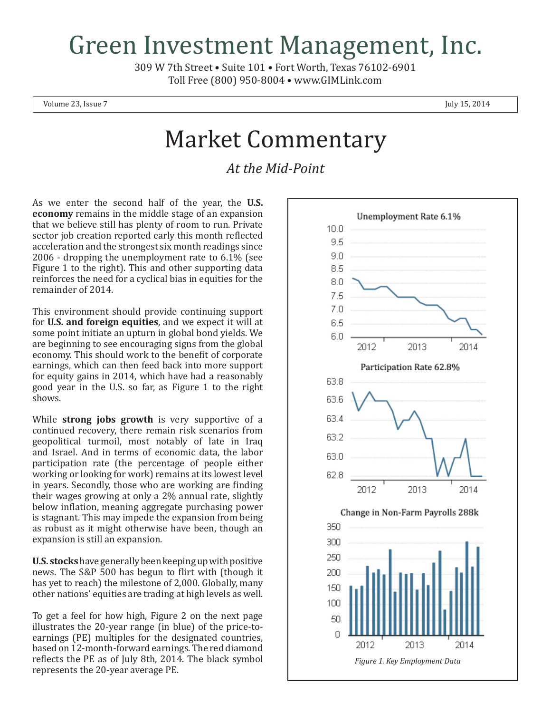## Green Investment Management, Inc.

309 W 7th Street • Suite 101 • Fort Worth, Texas 76102-6901 Toll Free (800) 950-8004 • www.GIMLink.com

Volume 23, Issue  $7 \times 2014$ 

## Market Commentary

*At the Mid-Point*

As we enter the second half of the year, the **U.S. economy** remains in the middle stage of an expansion that we believe still has plenty of room to run. Private sector job creation reported early this month reflected acceleration and the strongest six month readings since 2006 - dropping the unemployment rate to 6.1% (see Figure 1 to the right). This and other supporting data reinforces the need for a cyclical bias in equities for the remainder of 2014.

This environment should provide continuing support for **U.S. and foreign equities**, and we expect it will at some point initiate an upturn in global bond yields. We are beginning to see encouraging signs from the global economy. This should work to the benefit of corporate earnings, which can then feed back into more support for equity gains in 2014, which have had a reasonably good year in the U.S. so far, as Figure 1 to the right shows.

While **strong jobs growth** is very supportive of a continued recovery, there remain risk scenarios from geopolitical turmoil, most notably of late in Iraq and Israel. And in terms of economic data, the labor participation rate (the percentage of people either working or looking for work) remains at its lowest level in years. Secondly, those who are working are finding their wages growing at only a 2% annual rate, slightly below inflation, meaning aggregate purchasing power is stagnant. This may impede the expansion from being as robust as it might otherwise have been, though an expansion is still an expansion.

**U.S. stocks** have generally been keeping up with positive news. The S&P 500 has begun to flirt with (though it has yet to reach) the milestone of 2,000. Globally, many other nations' equities are trading at high levels as well.

To get a feel for how high, Figure 2 on the next page illustrates the 20-year range (in blue) of the price-toearnings (PE) multiples for the designated countries, based on 12-month-forward earnings. The red diamond reflects the PE as of July 8th, 2014. The black symbol represents the 20-year average PE.

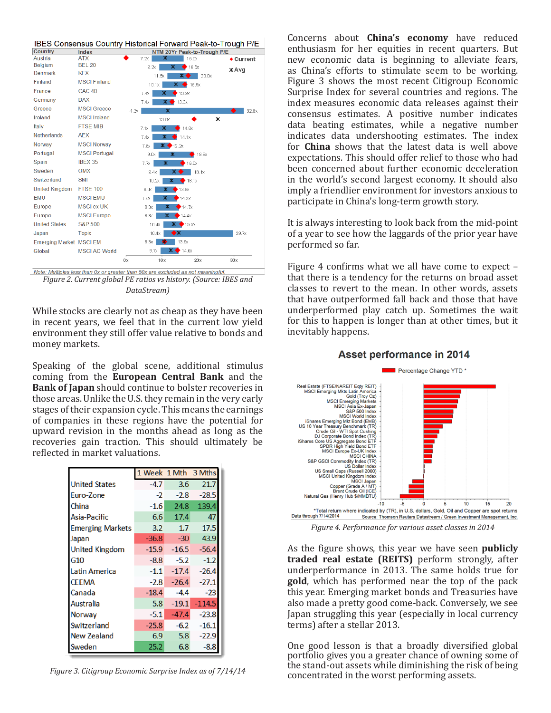

*Figure 2. Current global PE ratios vs history. (Source: IBES and DataStream)*

While stocks are clearly not as cheap as they have been in recent years, we feel that in the current low yield environment they still offer value relative to bonds and money markets.

Speaking of the global scene, additional stimulus coming from the **European Central Bank** and the **Bank of Japan** should continue to bolster recoveries in those areas. Unlike the U.S. they remain in the very early stages of their expansion cycle. This means the earnings of companies in these regions have the potential for upward revision in the months ahead as long as the recoveries gain traction. This should ultimately be reflected in market valuations.

|                         | 1 Week 1 Mth 3 Mths |         |          |
|-------------------------|---------------------|---------|----------|
| <b>United States</b>    | $-4.7$              | 3.6     | 21.7     |
| Euro-Zone               | -2                  | $-2.8$  | $-28.5$  |
| China                   | $-1.6$              | 24.8    | 139.4    |
| Asia-Pacific            | 6.6                 | 17.4    | 47       |
| <b>Emerging Markets</b> | 3.2                 | 1.7     | 17.5     |
| Japan                   | $-36.8$             | $-30$   | 43.9     |
| <b>United Kingdom</b>   | $-15.9$             | $-16.5$ | $-56.4$  |
| G <sub>10</sub>         | $-8.8$              | $-5.2$  | $-1.2$   |
| <b>Latin America</b>    | $-1.1$              | $-17.4$ | $-26.4$  |
| <b>CEEMA</b>            | $-2.8$              | $-26.4$ | $-27.1$  |
| Canada                  | $-18.4$             | $-4.4$  | $-23$    |
| Australia               | 5.8                 | $-19.1$ | $-114.5$ |
| <b>Norway</b>           | $-5.1$              | $-47.4$ | $-23.8$  |
| Switzerland             | $-25.8$             | $-6.2$  | $-16.1$  |
| <b>New Zealand</b>      | 6.9                 | 5.8     | $-22.9$  |
| Sweden                  | 25.2                | 6.8     | $-8.8$   |

*Figure 3. Citigroup Economic Surprise Index as of 7/14/14*

Concerns about **China's economy** have reduced enthusiasm for her equities in recent quarters. But new economic data is beginning to alleviate fears, as China's efforts to stimulate seem to be working. Figure 3 shows the most recent Citigroup Economic Surprise Index for several countries and regions. The index measures economic data releases against their consensus estimates. A positive number indicates data beating estimates, while a negative number indicates data undershooting estimates. The index for **China** shows that the latest data is well above expectations. This should offer relief to those who had been concerned about further economic deceleration in the world's second largest economy. It should also imply a friendlier environment for investors anxious to participate in China's long-term growth story.

It is always interesting to look back from the mid-point of a year to see how the laggards of the prior year have performed so far.

Figure 4 confirms what we all have come to expect – that there is a tendency for the returns on broad asset classes to revert to the mean. In other words, assets that have outperformed fall back and those that have underperformed play catch up. Sometimes the wait for this to happen is longer than at other times, but it inevitably happens.

## **Asset performance in 2014**



*Figure 4. Performance for various asset classes in 2014*

As the figure shows, this year we have seen **publicly traded real estate (REITS)** perform strongly, after underperformance in 2013. The same holds true for **gold**, which has performed near the top of the pack this year. Emerging market bonds and Treasuries have also made a pretty good come-back. Conversely, we see Japan struggling this year (especially in local currency terms) after a stellar 2013.

One good lesson is that a broadly diversified global portfolio gives you a greater chance of owning some of the stand-out assets while diminishing the risk of being concentrated in the worst performing assets.